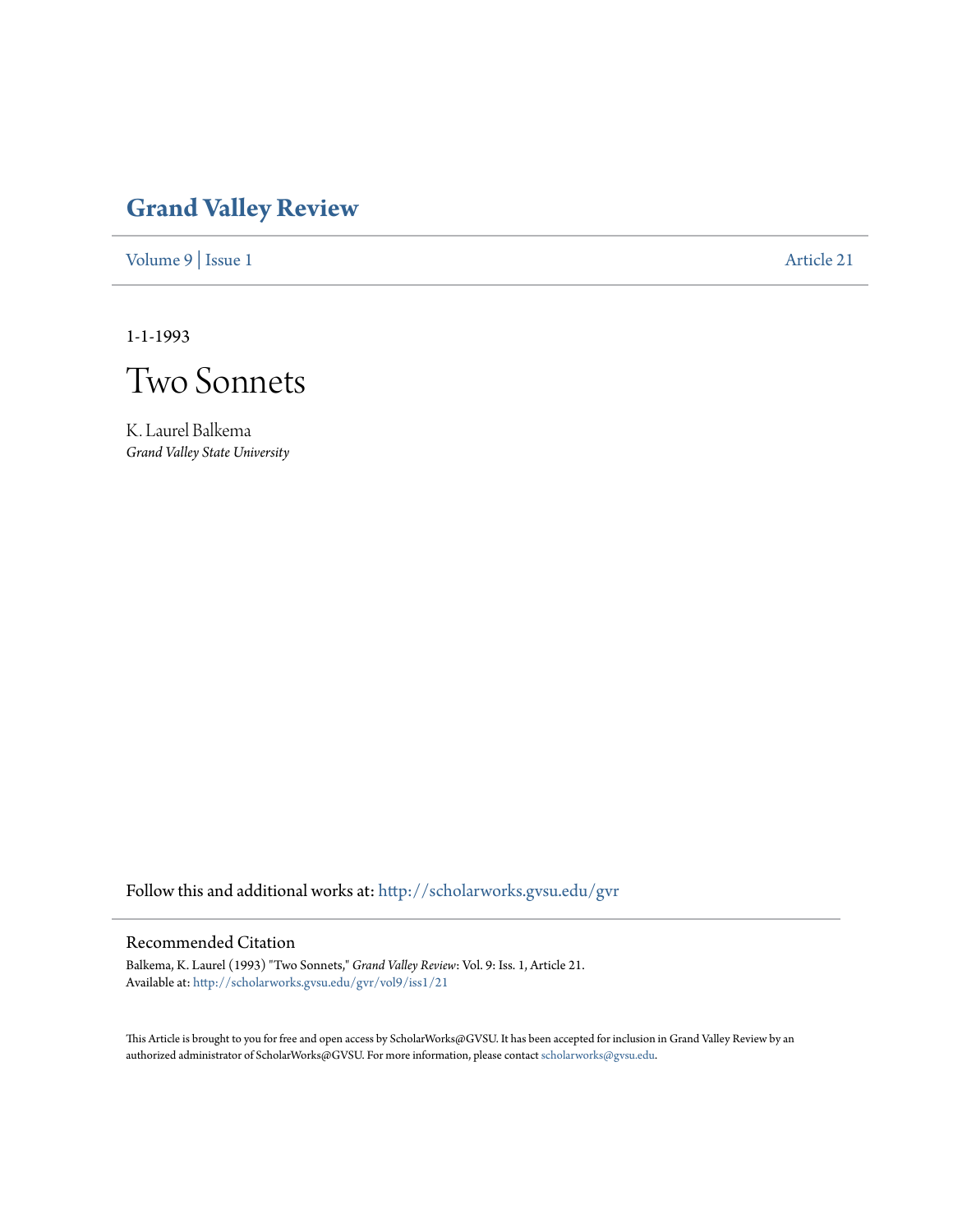## **[Grand Valley Review](http://scholarworks.gvsu.edu/gvr?utm_source=scholarworks.gvsu.edu%2Fgvr%2Fvol9%2Fiss1%2F21&utm_medium=PDF&utm_campaign=PDFCoverPages)**

[Volume 9](http://scholarworks.gvsu.edu/gvr/vol9?utm_source=scholarworks.gvsu.edu%2Fgvr%2Fvol9%2Fiss1%2F21&utm_medium=PDF&utm_campaign=PDFCoverPages) | [Issue 1](http://scholarworks.gvsu.edu/gvr/vol9/iss1?utm_source=scholarworks.gvsu.edu%2Fgvr%2Fvol9%2Fiss1%2F21&utm_medium=PDF&utm_campaign=PDFCoverPages) [Article 21](http://scholarworks.gvsu.edu/gvr/vol9/iss1/21?utm_source=scholarworks.gvsu.edu%2Fgvr%2Fvol9%2Fiss1%2F21&utm_medium=PDF&utm_campaign=PDFCoverPages)

1-1-1993



K. Laurel Balkema *Grand Valley State University*

Follow this and additional works at: [http://scholarworks.gvsu.edu/gvr](http://scholarworks.gvsu.edu/gvr?utm_source=scholarworks.gvsu.edu%2Fgvr%2Fvol9%2Fiss1%2F21&utm_medium=PDF&utm_campaign=PDFCoverPages)

### Recommended Citation

Balkema, K. Laurel (1993) "Two Sonnets," *Grand Valley Review*: Vol. 9: Iss. 1, Article 21. Available at: [http://scholarworks.gvsu.edu/gvr/vol9/iss1/21](http://scholarworks.gvsu.edu/gvr/vol9/iss1/21?utm_source=scholarworks.gvsu.edu%2Fgvr%2Fvol9%2Fiss1%2F21&utm_medium=PDF&utm_campaign=PDFCoverPages)

This Article is brought to you for free and open access by ScholarWorks@GVSU. It has been accepted for inclusion in Grand Valley Review by an authorized administrator of ScholarWorks@GVSU. For more information, please contact [scholarworks@gvsu.edu.](mailto:scholarworks@gvsu.edu)